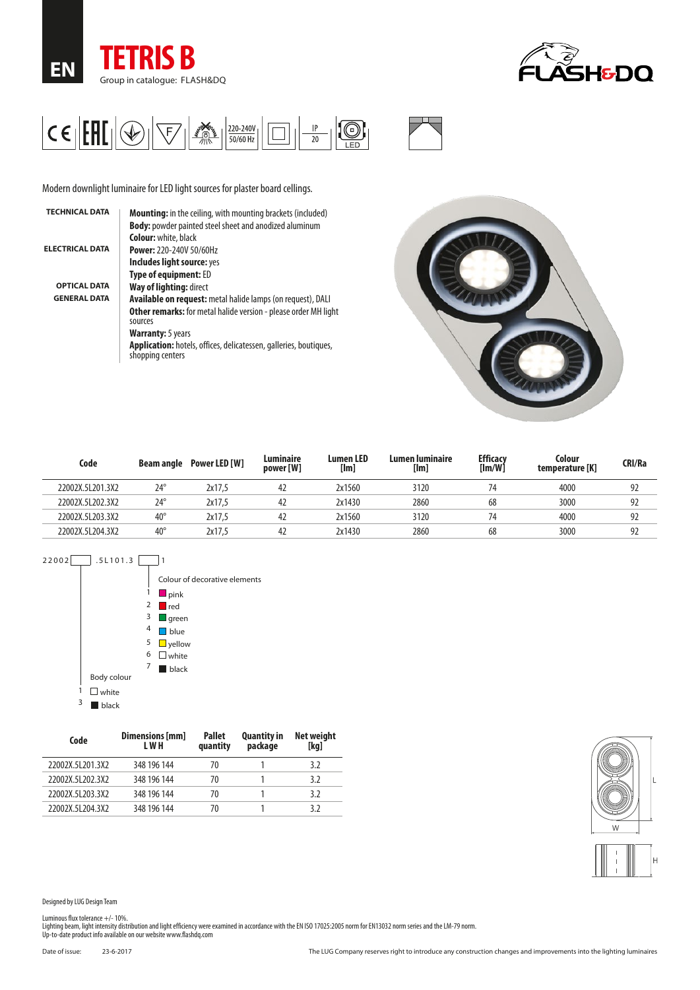





Modern downlight luminaire for LED light sources for plaster board cellings.

| <b>Mounting:</b> in the ceiling, with mounting brackets (included)                           |
|----------------------------------------------------------------------------------------------|
| <b>Body:</b> powder painted steel sheet and anodized aluminum                                |
| <b>Colour:</b> white, black                                                                  |
| <b>Power: 220-240V 50/60Hz</b>                                                               |
| Includes light source: yes                                                                   |
| <b>Type of equipment: ED</b>                                                                 |
| Way of lighting: direct                                                                      |
| <b>Available on request:</b> metal halide lamps (on request), DALI                           |
| <b>Other remarks:</b> for metal halide version - please order MH light<br>sources            |
| <b>Warranty:</b> 5 years                                                                     |
| <b>Application:</b> hotels, offices, delicatessen, galleries, boutiques,<br>shopping centers |
|                                                                                              |



| Code             | Beam angle   | Power LED [W] | Luminaire<br>power [W] | <b>Lumen LED</b><br>[Im] | Lumen luminaire<br>[lm] | <b>Efficacy</b><br>[Im/W] | Colour<br>temperature [K] | <b>CRI/Ra</b> |
|------------------|--------------|---------------|------------------------|--------------------------|-------------------------|---------------------------|---------------------------|---------------|
| 22002X.5L201.3X2 | $24^\circ$   | 2x17.5        | 42                     | 2x1560                   | 3120                    |                           | 4000                      | 92            |
| 22002X.5L202.3X2 | $24^{\circ}$ | 2x17.5        | 42                     | 2x1430                   | 2860                    | 68                        | 3000                      | 92            |
| 22002X.5L203.3X2 | $40^{\circ}$ | 2x17.5        | 42                     | 2x1560                   | 3120                    |                           | 4000                      | 92            |
| 22002X.5L204.3X2 | $40^{\circ}$ | 2x17.5        | 42                     | 2x1430                   | 2860                    | 68                        | 3000                      | 92            |



| Code             | Dimensions [mm]<br>L W H | <b>Pallet</b><br>quantity | <b>Quantity in</b><br>package | Net weight<br>[kg] |
|------------------|--------------------------|---------------------------|-------------------------------|--------------------|
| 22002X.5L201.3X2 | 348 196 144              | 70                        |                               | 3.2                |
| 22002X.5L202.3X2 | 348 196 144              | 70                        |                               | 3.2                |
| 22002X.5L203.3X2 | 348 196 144              | 70                        |                               | 3.2                |
| 22002X.5L204.3X2 | 348 196 144              | 70                        |                               | 37                 |



Designed by LUG Design Team

Luminous flux tolerance +/- 10%.<br>Lighting beam, light intensity distribution and light efficiency were examined in accordance with the EN ISO 17025:2005 norm for EN13032 norm series and the LM-79 norm.<br>Up-to-date product i